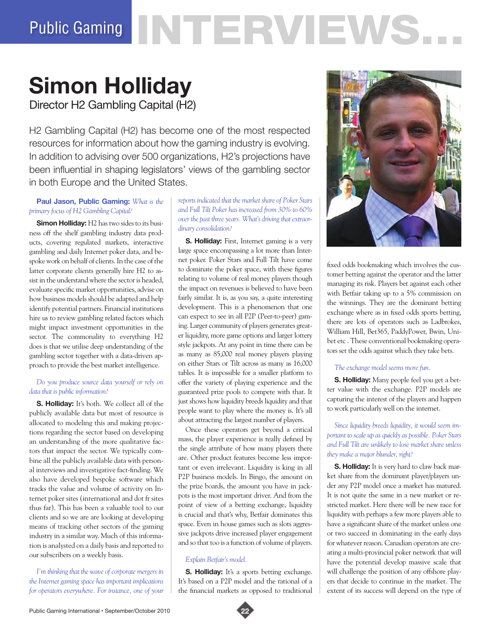# Public Gaming NTTERVIEWS

# **Simon Holliday**

Director H2 Gambling Capital (H2)

H2 Gambling Capital (H2) has become one of the most respected resources for information about how the gaming industry is evolving. In addition to advising over 500 organizations, H2's projections have been influential in shaping legislators' views of the gambling sector in both Europe and the United States.

### **Paul Jason, Public Gaming:** *What is the primary focus of H2 Gambling Capital?*

**Simon Holliday:** H2 has two sides to its business off the shelf gambling industry data products, covering regulated markets, interactive gambling and daily Internet poker data, and bespoke work on behalf of clients. In the case of the latter corporate clients generally hire H2 to assist in the understand where the sector is headed, evaluate specific market opportunities, advise on how business models should be adapted and help identify potential partners. Financial institutions hire us to review gambling related factors which might impact investment opportunities in the sector. The commonality to everything H2 does is that we utilise deep understanding of the gambling sector together with a data-driven approach to provide the best market intelligence.

#### *Do you produce source data yourself or rely on data that is public information?*

**S. Holliday:** It's both. We collect all of the publicly available data but most of resource is allocated to modeling this and making projections regarding the sector based on developing an understanding of the more qualitative factors that impact the sector. We typically combine all the publicly available data with personal interviews and investigative fact-finding. We also have developed bespoke software which tracks the value and volume of activity on Internet poker sites (international and dot fr sites thus far). This has been a valuable tool to our clients and so we are are looking at developing means of tracking other sectors of the gaming industry in a similar way. Much of this information is analysted on a daily basis and reported to our subscribers on a weekly basis.

*I'm thinking that the wave of corporate mergers in the Internet gaming space has important implications for operators everywhere. For instance, one of your*  *reports indicated that the market share of Poker Stars and Full Tilt Poker has increased from 30% to 60% over the past three years. What's driving that extraordinary consolidation?*

**S. Holliday:** First, Internet gaming is a very large space encompassing a lot more than Internet poker. Poker Stars and Full Tilt have come to dominate the poker space, with these figures relating to volume of real money players though the impact on revenues is believed to have been fairly similar. It is, as you say, a quite interesting development. This is a phenomenon that one can expect to see in all P2P (Peer-to-peer) gaming. Larger community of players generates greater liquidity, more game options and larger lottery style jackpots. At any point in time there can be as many as 85,000 real money players playing on either Stars or Tilt across as many as 16,000 tables. It is impossible for a smaller platform to offer the variety of playing experience and the guaranteed prize pools to compete with that. It just shows how liquidity breeds liquidity and that people want to play where the money is. It's all about attracting the largest number of players.

Once these operators get beyond a critical mass, the player experience is really defined by the single attribute of how many players there are. Other product features become less important or even irrelevant. Liquidity is king in all P2P business models. In Bingo, the amount on the prize boards, the amount you have in jackpots is the most important driver. And from the point of view of a betting exchange, liquidity is crucial and that's why, Betfair dominates this space. Even in house games such as slots aggressive jackpots drive increased player engagement and so that too is a function of volume of players.

## *Explain Betfair's model.*

**S. Holliday:** It's a sports betting exchange. It's based on a P2P model and the rational of a the financial markets as opposed to traditional



fixed odds bookmaking which involves the customer betting against the operator and the latter managing its risk. Players bet against each other with Betfair taking up to a 5% commission on the winnings. They are the dominant betting exchange where as in fixed odds sports betting, there are lots of operators such as Ladbrokes, William Hill, Bet365, PaddyPower, Bwin, Unibet etc . These conventional bookmaking operators set the odds against which they take bets.

#### *The exchange model seems more fun.*

**S. Holliday:** Many people feel you get a better value with the exchange. P2P models are capturing the interest of the players and happen to work particularly well on the internet.

#### *Since liquidity breeds liquidity, it would seem important to scale up as quickly as possible. Poker Stars and Full Tilt are unlikely to lose market share unless they make a major blunder, right?*

**S. Holliday:** It is very hard to claw back market share from the dominant player/players under any P2P model once a market has matured. It is not quite the same in a new market or restricted market. Here there will be new race for liquidity with perhaps a few more players able to have a significant share of the market unless one or two succeed in dominating in the early days for whatever reason. Canadian operators are creating a multi-provincial poker network that will have the potential develop massive scale that will challenge the position of any offshore players that decide to continue in the market. The extent of its success will depend on the type of